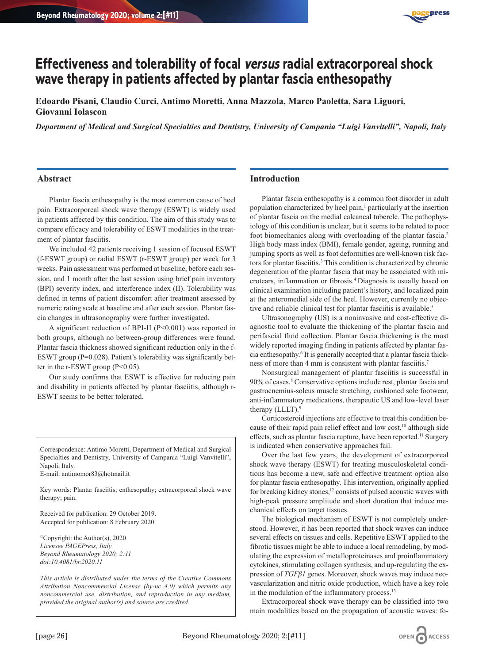

# **Effectiveness and tolerability of focal versus radial extracorporeal shock wave therapy in patients affected by plantar fascia enthesopathy**

**Edoardo Pisani, Claudio Curci, Antimo Moretti, Anna Mazzola, Marco Paoletta, Sara Liguori, Giovanni Iolascon**

*Department of Medical and Surgical Specialties and Dentistry, University of Campania "Luigi Vanvitelli", Napoli, Italy*

#### **Abstract**

Plantar fascia enthesopathy is the most common cause of heel pain. Extracorporeal shock wave therapy (ESWT) is widely used in patients affected by this condition. The aim of this study was to compare efficacy and tolerability of ESWT modalities in the treatment of plantar fasciitis.

We included 42 patients receiving 1 session of focused ESWT (f-ESWT group) or radial ESWT (r-ESWT group) per week for 3 weeks. Pain assessment was performed at baseline, before each session, and 1 month after the last session using brief pain inventory (BPI) severity index, and interference index (II). Tolerability was defined in terms of patient discomfort after treatment assessed by numeric rating scale at baseline and after each session. Plantar fascia changes in ultrasonography were further investigated.

A significant reduction of BPI-II (P<0.001) was reported in both groups, although no between-group differences were found. Plantar fascia thickness showed significant reduction only in the f-ESWT group (P=0.028). Patient's tolerability was significantly better in the r-ESWT group (P<0.05).

Our study confirms that ESWT is effective for reducing pain and disability in patients affected by plantar fasciitis, although r-ESWT seems to be better tolerated.

Correspondence: Antimo Moretti, Department of Medical and Surgical Specialties and Dentistry, University of Campania "Luigi Vanvitelli", Napoli, Italy.

E-mail: antimomor83@hotmail.it

Key words: Plantar fasciitis; enthesopathy; extracorporeal shock wave therapy; pain.

Received for publication: 29 October 2019. Accepted for publication: 8 February 2020.

©Copyright: the Author(s), 2020 *Licensee PAGEPress, Italy Beyond Rheumatology 2020; 2:11 doi:10.4081/br.2020.11*

*This article is distributed under the terms of the Creative Commons Attribution Noncommercial License (by-nc 4.0) which permits any noncommercial use, distribution, and reproduction in any medium, provided the original author(s) and source are credited.*

#### **Introduction**

Plantar fascia enthesopathy is a common foot disorder in adult population characterized by heel pain,<sup>1</sup> particularly at the insertion of plantar fascia on the medial calcaneal tubercle. The pathophysiology of this condition is unclear, but it seems to be related to poor foot biomechanics along with overloading of the plantar fascia.2 High body mass index (BMI), female gender, ageing, running and jumping sports as well as foot deformities are well-known risk factors for plantar fasciitis.<sup>3</sup> This condition is characterized by chronic degeneration of the plantar fascia that may be associated with microtears, inflammation or fibrosis.4 Diagnosis is usually based on clinical examination including patient's history, and localized pain at the anteromedial side of the heel. However, currently no objective and reliable clinical test for plantar fasciitis is available.<sup>5</sup>

Ultrasonography (US) is a noninvasive and cost-effective diagnostic tool to evaluate the thickening of the plantar fascia and perifascial fluid collection. Plantar fascia thickening is the most widely reported imaging finding in patients affected by plantar fascia enthesopathy.6 It is generally accepted that a plantar fascia thickness of more than 4 mm is consistent with plantar fasciitis.<sup>7</sup>

Nonsurgical management of plantar fasciitis is successful in 90% of cases.8 Conservative options include rest, plantar fascia and gastrocnemius-soleus muscle stretching, cushioned sole footwear, anti-inflammatory medications, therapeutic US and low-level laser therapy  $(LLLT).9$ 

Corticosteroid injections are effective to treat this condition because of their rapid pain relief effect and low cost,<sup>10</sup> although side effects, such as plantar fascia rupture, have been reported.<sup>11</sup> Surgery is indicated when conservative approaches fail.

Over the last few years, the development of extracorporeal shock wave therapy (ESWT) for treating musculoskeletal conditions has become a new, safe and effective treatment option also for plantar fascia enthesopathy. This intervention, originally applied for breaking kidney stones, $12$  consists of pulsed acoustic waves with high-peak pressure amplitude and short duration that induce mechanical effects on target tissues.

The biological mechanism of ESWT is not completely understood. However, it has been reported that shock waves can induce several effects on tissues and cells. Repetitive ESWT applied to the fibrotic tissues might be able to induce a local remodeling, by modulating the expression of metalloproteinases and proinflammatory cytokines, stimulating collagen synthesis, and up-regulating the expression of *TGFβ1* genes. Moreover, shock waves may induce neovascularization and nitric oxide production, which have a key role in the modulation of the inflammatory process.<sup>13</sup>

Extracorporeal shock wave therapy can be classified into two main modalities based on the propagation of acoustic waves: fo-

OPEN CACCESS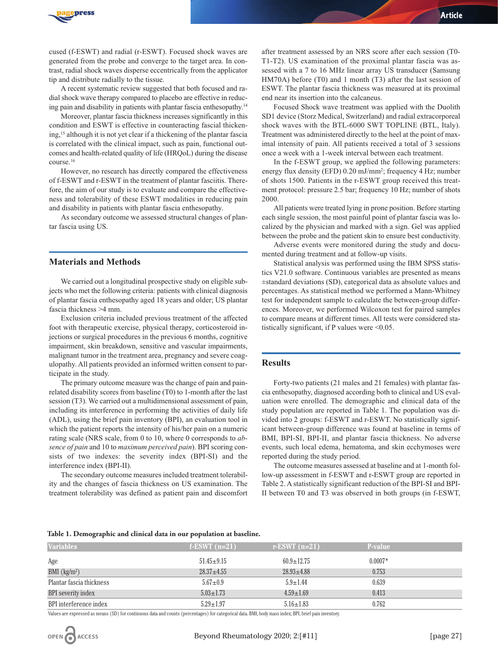

cused (f-ESWT) and radial (r-ESWT). Focused shock waves are generated from the probe and converge to the target area. In contrast, radial shock waves disperse eccentrically from the applicator tip and distribute radially to the tissue.

A recent systematic review suggested that both focused and radial shock wave therapy compared to placebo are effective in reducing pain and disability in patients with plantar fascia enthesopathy.14

Moreover, plantar fascia thickness increases significantly in this condition and ESWT is effective in counteracting fascial thickening,15 although it is not yet clear if a thickening of the plantar fascia is correlated with the clinical impact, such as pain, functional outcomes and health-related quality of life (HRQoL) during the disease course.16

However, no research has directly compared the effectiveness of f-ESWT and r-ESWT in the treatment of plantar fasciitis. Therefore, the aim of our study is to evaluate and compare the effectiveness and tolerability of these ESWT modalities in reducing pain and disability in patients with plantar fascia enthesopathy.

As secondary outcome we assessed structural changes of plantar fascia using US.

#### **Materials and Methods**

We carried out a longitudinal prospective study on eligible subjects who met the following criteria: patients with clinical diagnosis of plantar fascia enthesopathy aged 18 years and older; US plantar fascia thickness >4 mm.

Exclusion criteria included previous treatment of the affected foot with therapeutic exercise, physical therapy, corticosteroid injections or surgical procedures in the previous 6 months, cognitive impairment, skin breakdown, sensitive and vascular impairments, malignant tumor in the treatment area, pregnancy and severe coagulopathy. All patients provided an informed written consent to participate in the study.

The primary outcome measure was the change of pain and painrelated disability scores from baseline (T0) to 1-month after the last session (T3). We carried out a multidimensional assessment of pain, including its interference in performing the activities of daily life (ADL), using the brief pain inventory (BPI), an evaluation tool in which the patient reports the intensity of his/her pain on a numeric rating scale (NRS scale, from 0 to 10, where 0 corresponds to *absence of pain* and 10 to *maximum perceived pain*). BPI scoring consists of two indexes: the severity index (BPI-SI) and the interference index (BPI-II).

The secondary outcome measures included treatment tolerability and the changes of fascia thickness on US examination. The treatment tolerability was defined as patient pain and discomfort

after treatment assessed by an NRS score after each session (T0- T1-T2). US examination of the proximal plantar fascia was assessed with a 7 to 16 MHz linear array US transducer (Samsung HM70A) before (T0) and 1 month (T3) after the last session of ESWT. The plantar fascia thickness was measured at its proximal end near its insertion into the calcaneus.

Focused Shock wave treatment was applied with the Duolith SD1 device (Storz Medical, Switzerland) and radial extracorporeal shock waves with the BTL-6000 SWT TOPLINE (BTL, Italy). Treatment was administered directly to the heel at the point of maximal intensity of pain. All patients received a total of 3 sessions once a week with a 1-week interval between each treatment.

In the f-ESWT group, we applied the following parameters: energy flux density (EFD) 0.20 mJ/mm<sup>2</sup>; frequency 4 Hz; number of shots 1500. Patients in the r-ESWT group received this treatment protocol: pressure 2.5 bar; frequency 10 Hz; number of shots 2000.

All patients were treated lying in prone position. Before starting each single session, the most painful point of plantar fascia was localized by the physician and marked with a sign. Gel was applied between the probe and the patient skin to ensure best conductivity.

Adverse events were monitored during the study and documented during treatment and at follow-up visits.

Statistical analysis was performed using the IBM SPSS statistics V21.0 software. Continuous variables are presented as means ±standard deviations (SD), categorical data as absolute values and percentages. As statistical method we performed a Mann-Whitney test for independent sample to calculate the between-group differences. Moreover, we performed Wilcoxon test for paired samples to compare means at different times. All tests were considered statistically significant, if P values were <0.05.

#### **Results**

Forty-two patients (21 males and 21 females) with plantar fascia enthesopathy, diagnosed according both to clinical and US evaluation were enrolled. The demographic and clinical data of the study population are reported in Table 1. The population was divided into 2 groups: f-ESWT and r-ESWT. No statistically significant between-group difference was found at baseline in terms of BMI, BPI-SI, BPI-II, and plantar fascia thickness. No adverse events, such local edema, hematoma, and skin ecchymoses were reported during the study period.

The outcome measures assessed at baseline and at 1-month follow-up assessment in f-ESWT and r-ESWT group are reported in Table 2. A statistically significant reduction of the BPI-SI and BPI-II between T0 and T3 was observed in both groups (in f-ESWT,

|  | Table 1. Demographic and clinical data in our population at baseline. |  |  |  |  |
|--|-----------------------------------------------------------------------|--|--|--|--|
|  |                                                                       |  |  |  |  |

| f-ESWT $(n=21)$  | r-ESWT $(n=21)$  | <b>P-value</b> |
|------------------|------------------|----------------|
| $51.45 \pm 9.15$ | $60.9 \pm 12.75$ | $0.0007*$      |
| $28.37 + 4.55$   | $28.93 \pm 4.88$ | 0.753          |
| $5.67 \pm 0.9$   | $5.9 \pm 1.44$   | 0.639          |
| $5.03 \pm 1.73$  | $4.59 \pm 1.69$  | 0.413          |
| $5.29 \pm 1.97$  | $5.16 \pm 1.83$  | 0.762          |
|                  |                  |                |

Values are expressed as means (SD) for continuous data and counts (percentages) for categorical data. BMI, body mass index; BPI, brief pain inventory.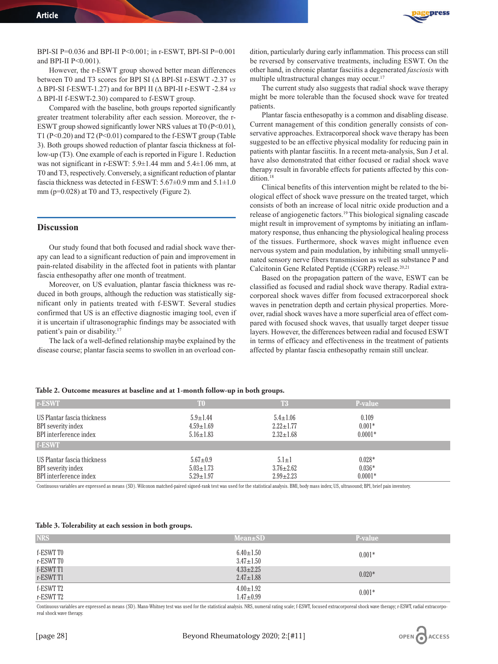

BPI-SI P=0.036 and BPI-II P<0.001; in r-ESWT, BPI-SI P=0.001 and BPI-II P<0.001).

However, the r-ESWT group showed better mean differences between T0 and T3 scores for BPI SI (∆ BPI-SI r-ESWT -2.37 *vs* ∆ BPI-SI f-ESWT-1.27) and for BPI II (∆ BPI-II r-ESWT -2.84 *vs* ∆ BPI-II f-ESWT-2.30) compared to f-ESWT group.

Compared with the baseline, both groups reported significantly greater treatment tolerability after each session. Moreover, the r-ESWT group showed significantly lower NRS values at  $T0 (P<0.01)$ , T1 (P<0.20) and T2 (P<0.01) compared to the f-ESWT group (Table 3). Both groups showed reduction of plantar fascia thickness at follow-up (T3). One example of each is reported in Figure 1. Reduction was not significant in r-ESWT: 5.9±1.44 mm and 5.4±1.06 mm, at T0 and T3, respectively. Conversely, a significant reduction of plantar fascia thickness was detected in f-ESWT: 5.67±0.9 mm and 5.1±1.0 mm (p=0.028) at T0 and T3, respectively (Figure 2).

### **Discussion**

Our study found that both focused and radial shock wave therapy can lead to a significant reduction of pain and improvement in pain-related disability in the affected foot in patients with plantar fascia enthesopathy after one month of treatment.

Moreover, on US evaluation, plantar fascia thickness was reduced in both groups, although the reduction was statistically significant only in patients treated with f-ESWT. Several studies confirmed that US is an effective diagnostic imaging tool, even if it is uncertain if ultrasonographic findings may be associated with patient's pain or disability.17

The lack of a well-defined relationship maybe explained by the disease course; plantar fascia seems to swollen in an overload con-

dition, particularly during early inflammation. This process can still be reversed by conservative treatments, including ESWT. On the other hand, in chronic plantar fasciitis a degenerated *fasciosis* with multiple ultrastructural changes may occur.<sup>17</sup>

The current study also suggests that radial shock wave therapy might be more tolerable than the focused shock wave for treated patients.

Plantar fascia enthesopathy is a common and disabling disease. Current management of this condition generally consists of conservative approaches. Extracorporeal shock wave therapy has been suggested to be an effective physical modality for reducing pain in patients with plantar fasciitis. In a recent meta-analysis, Sun J et al. have also demonstrated that either focused or radial shock wave therapy result in favorable effects for patients affected by this condition.<sup>18</sup>

Clinical benefits of this intervention might be related to the biological effect of shock wave pressure on the treated target, which consists of both an increase of local nitric oxide production and a release of angiogenetic factors.19 This biological signaling cascade might result in improvement of symptoms by initiating an inflammatory response, thus enhancing the physiological healing process of the tissues. Furthermore, shock waves might influence even nervous system and pain modulation, by inhibiting small unmyelinated sensory nerve fibers transmission as well as substance P and Calcitonin Gene Related Peptide (CGRP) release.20,21

Based on the propagation pattern of the wave, ESWT can be classified as focused and radial shock wave therapy. Radial extracorporeal shock waves differ from focused extracorporeal shock waves in penetration depth and certain physical properties. Moreover, radial shock waves have a more superficial area of effect compared with focused shock waves, that usually target deeper tissue layers. However, the differences between radial and focused ESWT in terms of efficacy and effectiveness in the treatment of patients affected by plantar fascia enthesopathy remain still unclear.

#### **Table 2. Outcome measures at baseline and at 1-month follow-up in both groups.**

| r-ESWT                                                                                | T <sub>0</sub>                                       | <b>T3</b>                                            | <b>P-value</b>                    |  |
|---------------------------------------------------------------------------------------|------------------------------------------------------|------------------------------------------------------|-----------------------------------|--|
| US Plantar fascia thickness<br>BPI severity index<br>BPI interference index<br>f-ESWT | $5.9 \pm 1.44$<br>$4.59 \pm 1.69$<br>$5.16 \pm 1.83$ | $5.4 \pm 1.06$<br>$2.22 \pm 1.77$<br>$2.32 \pm 1.68$ | 0.109<br>$0.001*$<br>$0.0001*$    |  |
| US Plantar fascia thickness<br>BPI severity index<br>BPI interference index           | $5.67 \pm 0.9$<br>$5.03 \pm 1.73$<br>$5.29 \pm 1.97$ | $5.1 \pm 1$<br>$3.76 \pm 2.62$<br>$2.99 \pm 2.23$    | $0.028*$<br>$0.036*$<br>$0.0001*$ |  |

Continuous variables are expressed as means (SD). Wilcoxon matched-paired signed-rank test was used for the statistical analysis. BMI, body mass index; US, ultrasound; BPI, brief pain inventory.

#### **Table 3. Tolerability at each session in both groups.**

| <b>NRS</b>             | <b>Mean</b> ±SD                    | P-value  |
|------------------------|------------------------------------|----------|
| f-ESWT T0<br>r-ESWT T0 | $6.40 \pm 1.50$<br>$3.47 \pm 1.50$ | $0.001*$ |
| f-ESWT T1<br>r-ESWT T1 | $4.33 \pm 2.25$<br>$2.47 \pm 1.88$ | $0.020*$ |
| f-ESWT T2<br>r-ESWT T2 | $4.00 \pm 1.92$<br>$1.47 \pm 0.99$ | $0.001*$ |

Continuous variables are expressed as means (SD). Mann-Whitney test was used for the statistical analysis. NRS, numeral rating scale; f-ESWT, focused extracorporeal shock wave therapy; r-ESWT, radial extracorporeal shock wave therapy.

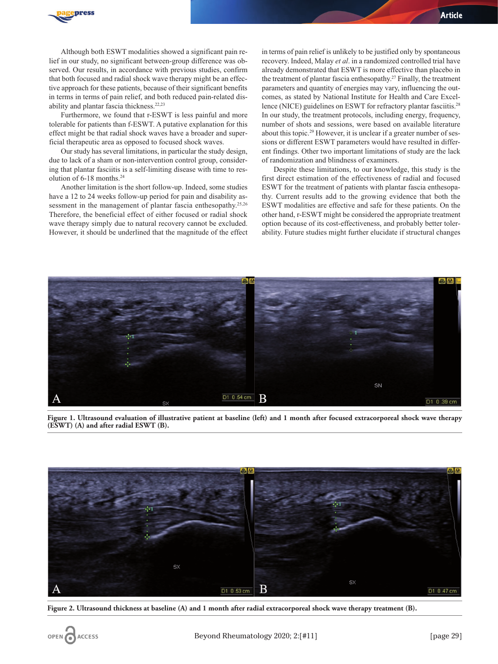

Although both ESWT modalities showed a significant pain relief in our study, no significant between-group difference was observed. Our results, in accordance with previous studies, confirm that both focused and radial shock wave therapy might be an effective approach for these patients, because of their significant benefits in terms in terms of pain relief, and both reduced pain-related disability and plantar fascia thickness.22,23

Furthermore, we found that r-ESWT is less painful and more tolerable for patients than f-ESWT. A putative explanation for this effect might be that radial shock waves have a broader and superficial therapeutic area as opposed to focused shock waves.

Our study has several limitations, in particular the study design, due to lack of a sham or non-intervention control group, considering that plantar fasciitis is a self-limiting disease with time to resolution of 6-18 months.24

Another limitation is the short follow-up. Indeed, some studies have a 12 to 24 weeks follow-up period for pain and disability assessment in the management of plantar fascia enthesopathy.<sup>25,26</sup> Therefore, the beneficial effect of either focused or radial shock wave therapy simply due to natural recovery cannot be excluded. However, it should be underlined that the magnitude of the effect

in terms of pain relief is unlikely to be justified only by spontaneous recovery. Indeed, Malay *et al*. in a randomized controlled trial have already demonstrated that ESWT is more effective than placebo in the treatment of plantar fascia enthesopathy.<sup>27</sup> Finally, the treatment parameters and quantity of energies may vary, influencing the outcomes, as stated by National Institute for Health and Care Excellence (NICE) guidelines on ESWT for refractory plantar fasciitis.<sup>28</sup> In our study, the treatment protocols, including energy, frequency, number of shots and sessions, were based on available literature about this topic.29 However, it is unclear if a greater number of sessions or different ESWT parameters would have resulted in different findings. Other two important limitations of study are the lack of randomization and blindness of examiners.

Despite these limitations, to our knowledge, this study is the first direct estimation of the effectiveness of radial and focused ESWT for the treatment of patients with plantar fascia enthesopathy. Current results add to the growing evidence that both the ESWT modalities are effective and safe for these patients. On the other hand, r-ESWT might be considered the appropriate treatment option because of its cost-effectiveness, and probably better tolerability. Future studies might further elucidate if structural changes



**Figure 1. Ultrasound evaluation of illustrative patient at baseline (left) and 1 month after focused extracorporeal shock wave therapy (ESWT) (A) and after radial ESWT (B).**



**Figure 2. Ultrasound thickness at baseline (A) and 1 month after radial extracorporeal shock wave therapy treatment (B).**